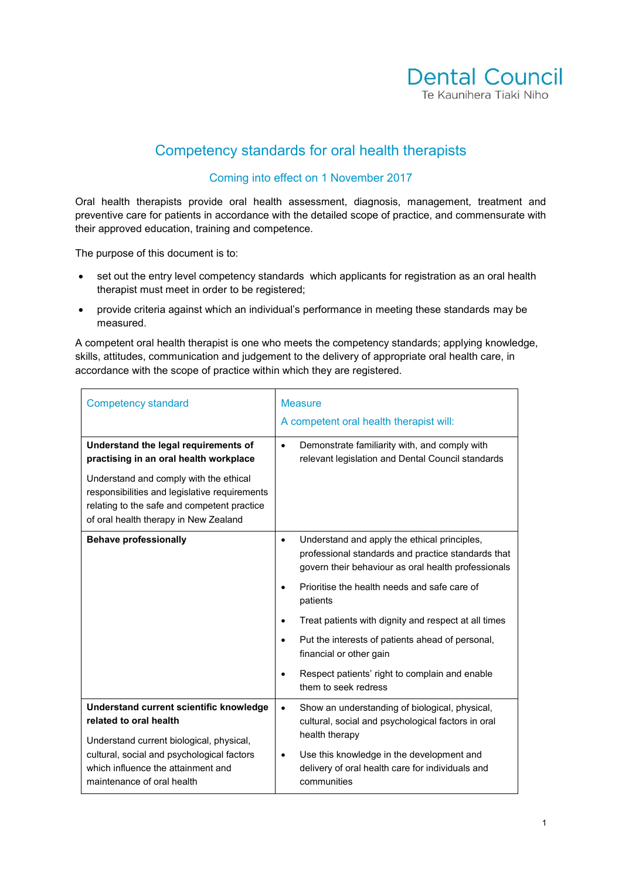

## Competency standards for oral health therapists

## Coming into effect on 1 November 2017

Oral health therapists provide oral health assessment, diagnosis, management, treatment and preventive care for patients in accordance with the detailed scope of practice, and commensurate with their approved education, training and competence.

The purpose of this document is to:

- set out the entry level competency standards which applicants for registration as an oral health therapist must meet in order to be registered;
- provide criteria against which an individual's performance in meeting these standards may be measured.

A competent oral health therapist is one who meets the competency standards; applying knowledge, skills, attitudes, communication and judgement to the delivery of appropriate oral health care, in accordance with the scope of practice within which they are registered.

| <b>Competency standard</b>                                                                                                                                 | <b>Measure</b><br>A competent oral health therapist will:                                                                                                              |  |
|------------------------------------------------------------------------------------------------------------------------------------------------------------|------------------------------------------------------------------------------------------------------------------------------------------------------------------------|--|
| Understand the legal requirements of<br>practising in an oral health workplace<br>Understand and comply with the ethical                                   | Demonstrate familiarity with, and comply with<br>$\bullet$<br>relevant legislation and Dental Council standards                                                        |  |
| responsibilities and legislative requirements<br>relating to the safe and competent practice<br>of oral health therapy in New Zealand                      |                                                                                                                                                                        |  |
| <b>Behave professionally</b>                                                                                                                               | Understand and apply the ethical principles,<br>$\bullet$<br>professional standards and practice standards that<br>govern their behaviour as oral health professionals |  |
|                                                                                                                                                            | Prioritise the health needs and safe care of<br>$\bullet$<br>patients                                                                                                  |  |
|                                                                                                                                                            | Treat patients with dignity and respect at all times<br>$\bullet$                                                                                                      |  |
|                                                                                                                                                            | Put the interests of patients ahead of personal,<br>$\bullet$<br>financial or other gain                                                                               |  |
|                                                                                                                                                            | Respect patients' right to complain and enable<br>$\bullet$<br>them to seek redress                                                                                    |  |
| Understand current scientific knowledge<br>related to oral health                                                                                          | Show an understanding of biological, physical,<br>cultural, social and psychological factors in oral<br>health therapy                                                 |  |
| Understand current biological, physical,<br>cultural, social and psychological factors<br>which influence the attainment and<br>maintenance of oral health | Use this knowledge in the development and<br>$\bullet$<br>delivery of oral health care for individuals and<br>communities                                              |  |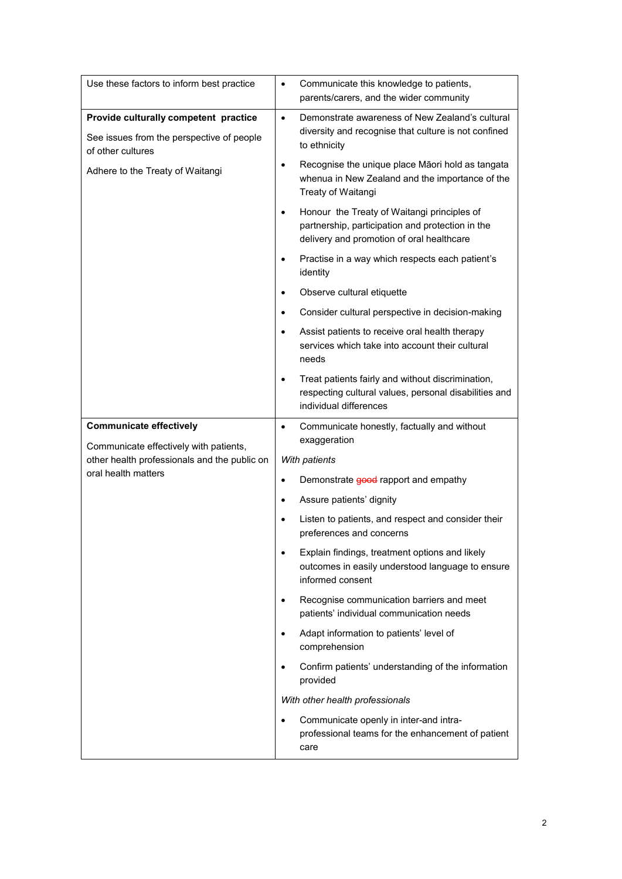| Use these factors to inform best practice                                                               | Communicate this knowledge to patients,<br>$\bullet$<br>parents/carers, and the wider community                                                           |
|---------------------------------------------------------------------------------------------------------|-----------------------------------------------------------------------------------------------------------------------------------------------------------|
| Provide culturally competent practice<br>See issues from the perspective of people<br>of other cultures | Demonstrate awareness of New Zealand's cultural<br>$\bullet$<br>diversity and recognise that culture is not confined<br>to ethnicity                      |
| Adhere to the Treaty of Waitangi                                                                        | Recognise the unique place Māori hold as tangata<br>$\bullet$<br>whenua in New Zealand and the importance of the<br>Treaty of Waitangi                    |
|                                                                                                         | Honour the Treaty of Waitangi principles of<br>$\bullet$<br>partnership, participation and protection in the<br>delivery and promotion of oral healthcare |
|                                                                                                         | Practise in a way which respects each patient's<br>$\bullet$<br>identity                                                                                  |
|                                                                                                         | Observe cultural etiquette<br>$\bullet$                                                                                                                   |
|                                                                                                         | Consider cultural perspective in decision-making<br>٠                                                                                                     |
|                                                                                                         | Assist patients to receive oral health therapy<br>$\bullet$<br>services which take into account their cultural<br>needs                                   |
|                                                                                                         | Treat patients fairly and without discrimination,<br>$\bullet$<br>respecting cultural values, personal disabilities and<br>individual differences         |
| <b>Communicate effectively</b>                                                                          | Communicate honestly, factually and without<br>$\bullet$                                                                                                  |
| Communicate effectively with patients,                                                                  | exaggeration                                                                                                                                              |
| other health professionals and the public on<br>oral health matters                                     | With patients                                                                                                                                             |
|                                                                                                         | Demonstrate good rapport and empathy<br>$\bullet$                                                                                                         |
|                                                                                                         | Assure patients' dignity                                                                                                                                  |
|                                                                                                         | Listen to patients, and respect and consider their<br>$\bullet$<br>preferences and concerns                                                               |
|                                                                                                         | Explain findings, treatment options and likely<br>$\bullet$<br>outcomes in easily understood language to ensure<br>informed consent                       |
|                                                                                                         | Recognise communication barriers and meet<br>$\bullet$<br>patients' individual communication needs                                                        |
|                                                                                                         | Adapt information to patients' level of<br>$\bullet$<br>comprehension                                                                                     |
|                                                                                                         | Confirm patients' understanding of the information<br>$\bullet$<br>provided                                                                               |
|                                                                                                         | With other health professionals                                                                                                                           |
|                                                                                                         | Communicate openly in inter-and intra-<br>$\bullet$<br>professional teams for the enhancement of patient<br>care                                          |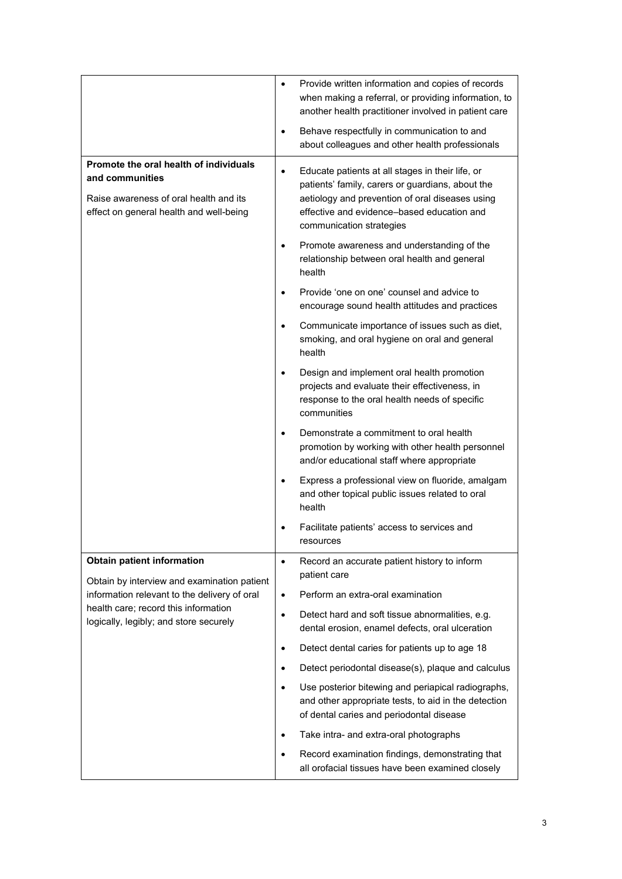|                                                                                                                                                | $\bullet$ | Provide written information and copies of records<br>when making a referral, or providing information, to<br>another health practitioner involved in patient care                                                                 |
|------------------------------------------------------------------------------------------------------------------------------------------------|-----------|-----------------------------------------------------------------------------------------------------------------------------------------------------------------------------------------------------------------------------------|
|                                                                                                                                                | $\bullet$ | Behave respectfully in communication to and<br>about colleagues and other health professionals                                                                                                                                    |
| Promote the oral health of individuals<br>and communities<br>Raise awareness of oral health and its<br>effect on general health and well-being | $\bullet$ | Educate patients at all stages in their life, or<br>patients' family, carers or guardians, about the<br>aetiology and prevention of oral diseases using<br>effective and evidence-based education and<br>communication strategies |
|                                                                                                                                                | $\bullet$ | Promote awareness and understanding of the<br>relationship between oral health and general<br>health                                                                                                                              |
|                                                                                                                                                |           | Provide 'one on one' counsel and advice to<br>encourage sound health attitudes and practices                                                                                                                                      |
|                                                                                                                                                |           | Communicate importance of issues such as diet,<br>smoking, and oral hygiene on oral and general<br>health                                                                                                                         |
|                                                                                                                                                |           | Design and implement oral health promotion<br>projects and evaluate their effectiveness, in<br>response to the oral health needs of specific<br>communities                                                                       |
|                                                                                                                                                | $\bullet$ | Demonstrate a commitment to oral health<br>promotion by working with other health personnel<br>and/or educational staff where appropriate                                                                                         |
|                                                                                                                                                |           | Express a professional view on fluoride, amalgam<br>and other topical public issues related to oral<br>health                                                                                                                     |
|                                                                                                                                                |           | Facilitate patients' access to services and<br>resources                                                                                                                                                                          |
| <b>Obtain patient information</b><br>Obtain by interview and examination patient                                                               | $\bullet$ | Record an accurate patient history to inform<br>patient care                                                                                                                                                                      |
| information relevant to the delivery of oral<br>health care; record this information<br>logically, legibly; and store securely                 | $\bullet$ | Perform an extra-oral examination                                                                                                                                                                                                 |
|                                                                                                                                                | $\bullet$ | Detect hard and soft tissue abnormalities, e.g.<br>dental erosion, enamel defects, oral ulceration                                                                                                                                |
|                                                                                                                                                | $\bullet$ | Detect dental caries for patients up to age 18                                                                                                                                                                                    |
|                                                                                                                                                | ٠         | Detect periodontal disease(s), plaque and calculus                                                                                                                                                                                |
|                                                                                                                                                |           | Use posterior bitewing and periapical radiographs,<br>and other appropriate tests, to aid in the detection<br>of dental caries and periodontal disease                                                                            |
|                                                                                                                                                | ٠         | Take intra- and extra-oral photographs                                                                                                                                                                                            |
|                                                                                                                                                | ٠         | Record examination findings, demonstrating that<br>all orofacial tissues have been examined closely                                                                                                                               |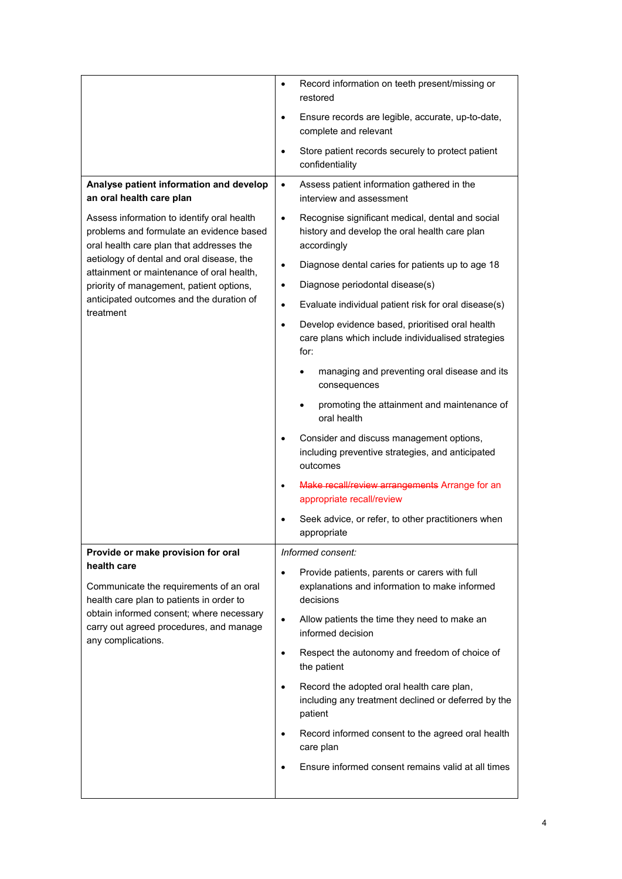|                                                                                                                                                                                                                 | Record information on teeth present/missing or<br>٠<br>restored                                                               |
|-----------------------------------------------------------------------------------------------------------------------------------------------------------------------------------------------------------------|-------------------------------------------------------------------------------------------------------------------------------|
|                                                                                                                                                                                                                 | Ensure records are legible, accurate, up-to-date,<br>$\bullet$<br>complete and relevant                                       |
|                                                                                                                                                                                                                 | Store patient records securely to protect patient<br>$\bullet$<br>confidentiality                                             |
| Analyse patient information and develop<br>an oral health care plan                                                                                                                                             | Assess patient information gathered in the<br>$\bullet$<br>interview and assessment                                           |
| Assess information to identify oral health<br>problems and formulate an evidence based<br>oral health care plan that addresses the                                                                              | Recognise significant medical, dental and social<br>$\bullet$<br>history and develop the oral health care plan<br>accordingly |
| aetiology of dental and oral disease, the<br>attainment or maintenance of oral health,                                                                                                                          | Diagnose dental caries for patients up to age 18<br>$\bullet$                                                                 |
| priority of management, patient options,                                                                                                                                                                        | Diagnose periodontal disease(s)                                                                                               |
| anticipated outcomes and the duration of<br>treatment                                                                                                                                                           | Evaluate individual patient risk for oral disease(s)<br>$\bullet$                                                             |
|                                                                                                                                                                                                                 | Develop evidence based, prioritised oral health<br>$\bullet$<br>care plans which include individualised strategies<br>for:    |
|                                                                                                                                                                                                                 | managing and preventing oral disease and its<br>٠<br>consequences                                                             |
|                                                                                                                                                                                                                 | promoting the attainment and maintenance of<br>oral health                                                                    |
|                                                                                                                                                                                                                 | Consider and discuss management options,<br>including preventive strategies, and anticipated<br>outcomes                      |
|                                                                                                                                                                                                                 | Make recall/review arrangements Arrange for an<br>$\bullet$<br>appropriate recall/review                                      |
|                                                                                                                                                                                                                 | Seek advice, or refer, to other practitioners when<br>appropriate                                                             |
| Provide or make provision for oral                                                                                                                                                                              | Informed consent:                                                                                                             |
| health care<br>Communicate the requirements of an oral<br>health care plan to patients in order to<br>obtain informed consent; where necessary<br>carry out agreed procedures, and manage<br>any complications. | Provide patients, parents or carers with full<br>$\bullet$<br>explanations and information to make informed<br>decisions      |
|                                                                                                                                                                                                                 | Allow patients the time they need to make an<br>$\bullet$<br>informed decision                                                |
|                                                                                                                                                                                                                 | Respect the autonomy and freedom of choice of<br>$\bullet$<br>the patient                                                     |
|                                                                                                                                                                                                                 | Record the adopted oral health care plan,<br>$\bullet$<br>including any treatment declined or deferred by the<br>patient      |
|                                                                                                                                                                                                                 | Record informed consent to the agreed oral health<br>٠<br>care plan                                                           |
|                                                                                                                                                                                                                 | Ensure informed consent remains valid at all times                                                                            |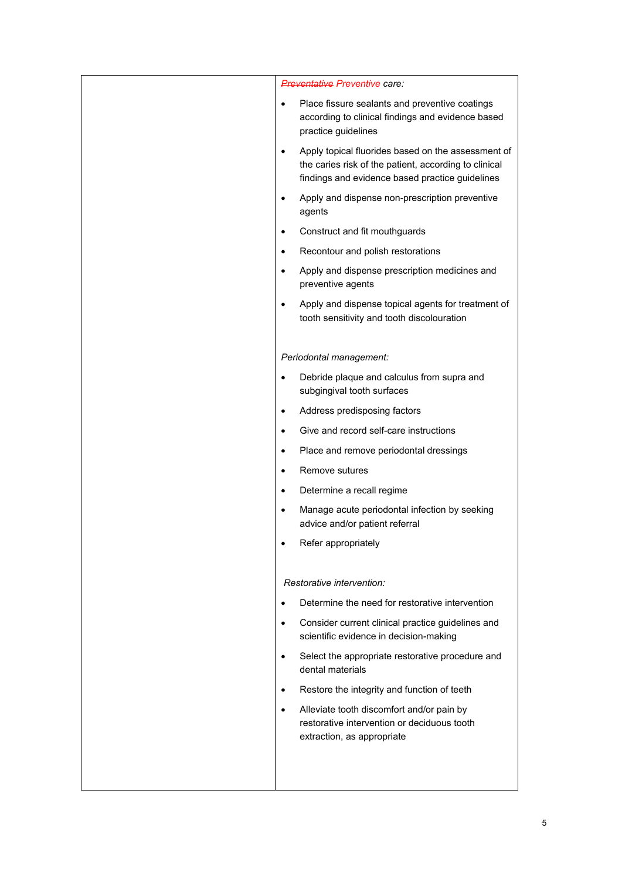| <b>Preventative Preventive care:</b>                                                                                                                                        |
|-----------------------------------------------------------------------------------------------------------------------------------------------------------------------------|
| Place fissure sealants and preventive coatings<br>$\bullet$<br>according to clinical findings and evidence based<br>practice guidelines                                     |
| Apply topical fluorides based on the assessment of<br>$\bullet$<br>the caries risk of the patient, according to clinical<br>findings and evidence based practice guidelines |
| Apply and dispense non-prescription preventive<br>$\bullet$<br>agents                                                                                                       |
| Construct and fit mouthguards<br>$\bullet$                                                                                                                                  |
| Recontour and polish restorations<br>$\bullet$                                                                                                                              |
| Apply and dispense prescription medicines and<br>$\bullet$<br>preventive agents                                                                                             |
| Apply and dispense topical agents for treatment of<br>$\bullet$<br>tooth sensitivity and tooth discolouration                                                               |
| Periodontal management:                                                                                                                                                     |
| Debride plaque and calculus from supra and<br>$\bullet$<br>subgingival tooth surfaces                                                                                       |
| Address predisposing factors<br>$\bullet$                                                                                                                                   |
| Give and record self-care instructions<br>$\bullet$                                                                                                                         |
| Place and remove periodontal dressings<br>$\bullet$                                                                                                                         |
| Remove sutures<br>$\bullet$                                                                                                                                                 |
| Determine a recall regime<br>$\bullet$                                                                                                                                      |
| Manage acute periodontal infection by seeking<br>$\bullet$<br>advice and/or patient referral                                                                                |
| Refer appropriately                                                                                                                                                         |
| Restorative intervention:                                                                                                                                                   |
| Determine the need for restorative intervention<br>$\bullet$                                                                                                                |
| Consider current clinical practice guidelines and<br>$\bullet$<br>scientific evidence in decision-making                                                                    |
| Select the appropriate restorative procedure and<br>$\bullet$<br>dental materials                                                                                           |
| Restore the integrity and function of teeth<br>$\bullet$                                                                                                                    |
| Alleviate tooth discomfort and/or pain by<br>$\bullet$<br>restorative intervention or deciduous tooth<br>extraction, as appropriate                                         |
|                                                                                                                                                                             |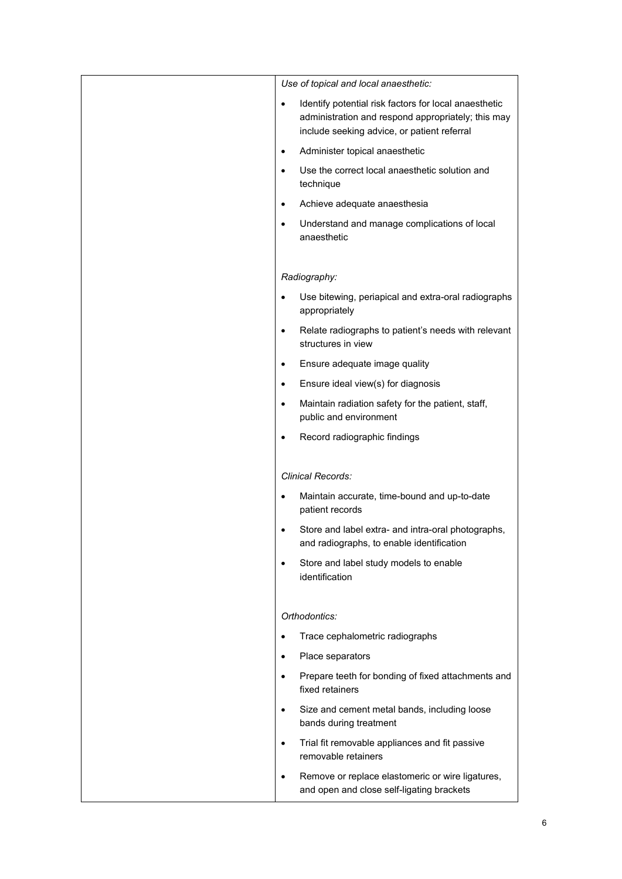| Use of topical and local anaesthetic:                                                                                                                                   |
|-------------------------------------------------------------------------------------------------------------------------------------------------------------------------|
| Identify potential risk factors for local anaesthetic<br>$\bullet$<br>administration and respond appropriately; this may<br>include seeking advice, or patient referral |
| Administer topical anaesthetic<br>$\bullet$                                                                                                                             |
| Use the correct local anaesthetic solution and<br>technique                                                                                                             |
| Achieve adequate anaesthesia<br>$\bullet$                                                                                                                               |
| Understand and manage complications of local<br>$\bullet$<br>anaesthetic                                                                                                |
| Radiography:                                                                                                                                                            |
| Use bitewing, periapical and extra-oral radiographs<br>$\bullet$<br>appropriately                                                                                       |
| Relate radiographs to patient's needs with relevant<br>$\bullet$<br>structures in view                                                                                  |
| Ensure adequate image quality<br>$\bullet$                                                                                                                              |
| Ensure ideal view(s) for diagnosis<br>$\bullet$                                                                                                                         |
| Maintain radiation safety for the patient, staff,<br>$\bullet$<br>public and environment                                                                                |
| Record radiographic findings                                                                                                                                            |
| Clinical Records:                                                                                                                                                       |
| Maintain accurate, time-bound and up-to-date<br>$\bullet$<br>patient records                                                                                            |
| Store and label extra- and intra-oral photographs,<br>٠<br>and radiographs, to enable identification                                                                    |
| Store and label study models to enable<br>$\bullet$<br>identification                                                                                                   |
| Orthodontics:                                                                                                                                                           |
| Trace cephalometric radiographs<br>$\bullet$                                                                                                                            |
| Place separators<br>٠                                                                                                                                                   |
| Prepare teeth for bonding of fixed attachments and<br>$\bullet$<br>fixed retainers                                                                                      |
| Size and cement metal bands, including loose<br>$\bullet$<br>bands during treatment                                                                                     |
| Trial fit removable appliances and fit passive<br>$\bullet$<br>removable retainers                                                                                      |
| Remove or replace elastomeric or wire ligatures,<br>٠<br>and open and close self-ligating brackets                                                                      |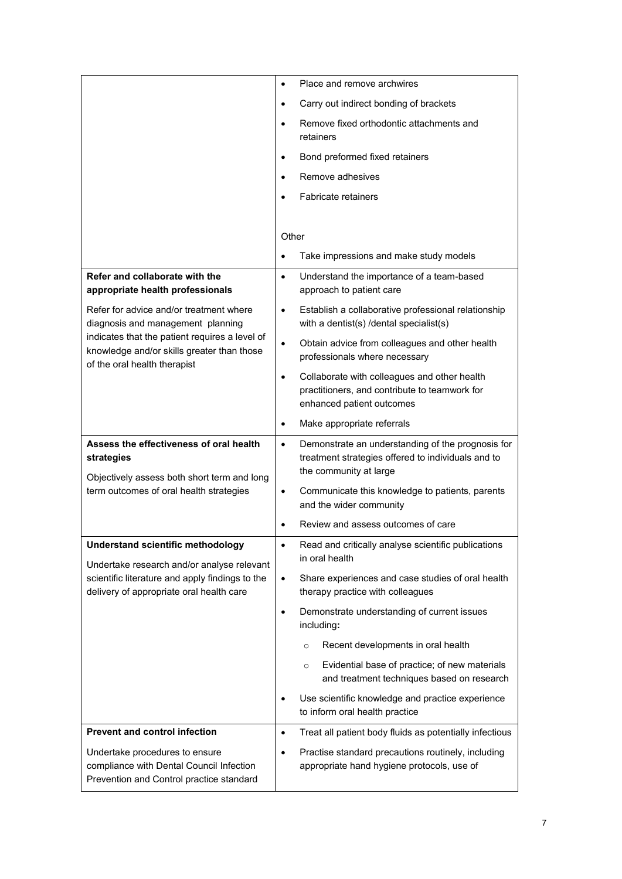|                                                                                                                                                                                                              | Place and remove archwires<br>$\bullet$                                                                                                                                                                                                                                         |
|--------------------------------------------------------------------------------------------------------------------------------------------------------------------------------------------------------------|---------------------------------------------------------------------------------------------------------------------------------------------------------------------------------------------------------------------------------------------------------------------------------|
|                                                                                                                                                                                                              | Carry out indirect bonding of brackets<br>$\bullet$                                                                                                                                                                                                                             |
|                                                                                                                                                                                                              | Remove fixed orthodontic attachments and<br>$\bullet$<br>retainers                                                                                                                                                                                                              |
|                                                                                                                                                                                                              | Bond preformed fixed retainers<br>$\bullet$                                                                                                                                                                                                                                     |
|                                                                                                                                                                                                              | Remove adhesives<br>$\bullet$                                                                                                                                                                                                                                                   |
|                                                                                                                                                                                                              | Fabricate retainers<br>$\bullet$                                                                                                                                                                                                                                                |
|                                                                                                                                                                                                              | Other                                                                                                                                                                                                                                                                           |
|                                                                                                                                                                                                              | Take impressions and make study models<br>$\bullet$                                                                                                                                                                                                                             |
| Refer and collaborate with the<br>appropriate health professionals                                                                                                                                           | Understand the importance of a team-based<br>$\bullet$<br>approach to patient care                                                                                                                                                                                              |
| Refer for advice and/or treatment where<br>diagnosis and management planning<br>indicates that the patient requires a level of<br>knowledge and/or skills greater than those<br>of the oral health therapist | Establish a collaborative professional relationship<br>$\bullet$<br>with a dentist(s) /dental specialist(s)                                                                                                                                                                     |
|                                                                                                                                                                                                              | Obtain advice from colleagues and other health<br>$\bullet$<br>professionals where necessary                                                                                                                                                                                    |
|                                                                                                                                                                                                              | Collaborate with colleagues and other health<br>$\bullet$<br>practitioners, and contribute to teamwork for<br>enhanced patient outcomes                                                                                                                                         |
|                                                                                                                                                                                                              | Make appropriate referrals<br>$\bullet$                                                                                                                                                                                                                                         |
|                                                                                                                                                                                                              |                                                                                                                                                                                                                                                                                 |
| Assess the effectiveness of oral health<br>strategies<br>Objectively assess both short term and long<br>term outcomes of oral health strategies                                                              | Demonstrate an understanding of the prognosis for<br>$\bullet$<br>treatment strategies offered to individuals and to<br>the community at large<br>Communicate this knowledge to patients, parents<br>$\bullet$<br>and the wider community<br>Review and assess outcomes of care |
| <b>Understand scientific methodology</b>                                                                                                                                                                     | Read and critically analyse scientific publications<br>$\bullet$                                                                                                                                                                                                                |
| Undertake research and/or analyse relevant                                                                                                                                                                   | in oral health                                                                                                                                                                                                                                                                  |
| scientific literature and apply findings to the<br>delivery of appropriate oral health care                                                                                                                  | Share experiences and case studies of oral health<br>$\bullet$<br>therapy practice with colleagues                                                                                                                                                                              |
|                                                                                                                                                                                                              | Demonstrate understanding of current issues<br>$\bullet$<br>including:                                                                                                                                                                                                          |
|                                                                                                                                                                                                              | Recent developments in oral health<br>$\circ$                                                                                                                                                                                                                                   |
|                                                                                                                                                                                                              | Evidential base of practice; of new materials<br>$\circ$<br>and treatment techniques based on research                                                                                                                                                                          |
|                                                                                                                                                                                                              | Use scientific knowledge and practice experience<br>$\bullet$<br>to inform oral health practice                                                                                                                                                                                 |
| <b>Prevent and control infection</b>                                                                                                                                                                         | Treat all patient body fluids as potentially infectious<br>$\bullet$                                                                                                                                                                                                            |